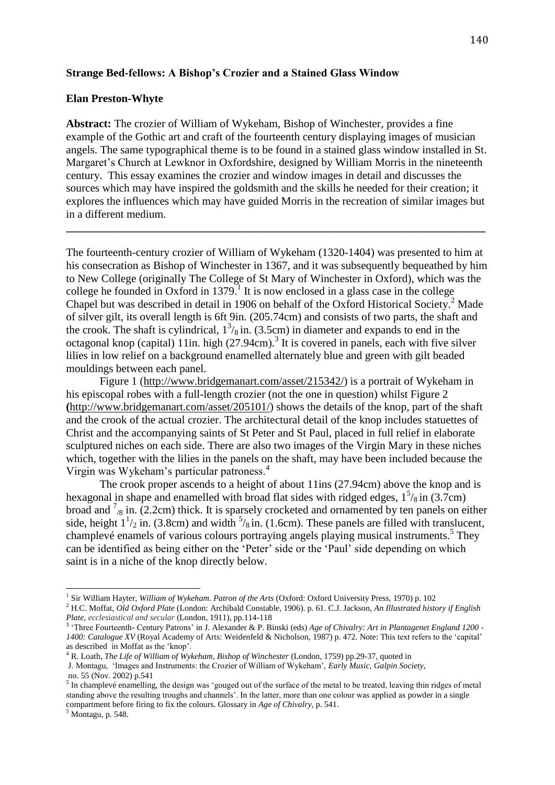#### **Strange Bed-fellows: A Bishop's Crozier and a Stained Glass Window**

#### **Elan Preston-Whyte**

**Abstract:** The crozier of William of Wykeham, Bishop of Winchester, provides a fine example of the Gothic art and craft of the fourteenth century displaying images of musician angels. The same typographical theme is to be found in a stained glass window installed in St. Margaret's Church at Lewknor in Oxfordshire, designed by William Morris in the nineteenth century. This essay examines the crozier and window images in detail and discusses the sources which may have inspired the goldsmith and the skills he needed for their creation; it explores the influences which may have guided Morris in the recreation of similar images but in a different medium.

**\_\_\_\_\_\_\_\_\_\_\_\_\_\_\_\_\_\_\_\_\_\_\_\_\_\_\_\_\_\_\_\_\_\_\_\_\_\_\_\_\_\_\_\_\_\_\_\_\_\_\_\_\_\_\_\_\_\_\_\_\_\_\_\_\_\_\_\_\_\_\_\_\_\_\_**

The fourteenth-century crozier of William of Wykeham (1320-1404) was presented to him at his consecration as Bishop of Winchester in 1367, and it was subsequently bequeathed by him to New College (originally The College of St Mary of Winchester in Oxford), which was the college he founded in Oxford in  $1379$ .<sup>1</sup> It is now enclosed in a glass case in the college Chapel but was described in detail in 1906 on behalf of the Oxford Historical Society.<sup>2</sup> Made of silver gilt, its overall length is 6ft 9in. (205.74cm) and consists of two parts, the shaft and the crook. The shaft is cylindrical,  $1^3$ /<sub>8</sub> in. (3.5cm) in diameter and expands to end in the octagonal knop (capital) 11in. high (27.94cm).<sup>3</sup> It is covered in panels, each with five silver lilies in low relief on a background enamelled alternately blue and green with gilt beaded mouldings between each panel.

Figure 1 [\(http://www.bridgemanart.com/asset/215342/\)](http://www.bridgemanart.com/asset/215342/) is a portrait of Wykeham in his episcopal robes with a full-length crozier (not the one in question) whilst Figure 2 **(**[http://www.bridgemanart.com/asset/205101/\)](http://www.bridgemanart.com/asset/205101/) shows the details of the knop, part of the shaft and the crook of the actual crozier. The architectural detail of the knop includes statuettes of Christ and the accompanying saints of St Peter and St Paul, placed in full relief in elaborate sculptured niches on each side. There are also two images of the Virgin Mary in these niches which, together with the lilies in the panels on the shaft, may have been included because the Virgin was Wykeham's particular patroness.<sup>4</sup>

The crook proper ascends to a height of about 11ins (27.94cm) above the knop and is hexagonal in shape and enamelled with broad flat sides with ridged edges,  $1<sup>5</sup>/8$  in (3.7cm) broad and  $\frac{7}{8}$  in. (2.2cm) thick. It is sparsely crocketed and ornamented by ten panels on either side, height  $1\frac{1}{2}$  in. (3.8cm) and width  $\frac{5}{8}$  in. (1.6cm). These panels are filled with translucent, champlevé enamels of various colours portraying angels playing musical instruments.<sup>5</sup> They can be identified as being either on the 'Peter' side or the 'Paul' side depending on which saint is in a niche of the knop directly below.

 $\overline{a}$ 

<sup>1</sup> Sir William Hayter, *William of Wykeham. Patron of the Arts* (Oxford: Oxford University Press, 1970) p. 102

<sup>2</sup> H.C. Moffat, *Old Oxford Plate* (London: Archibald Constable, 1906). p. 61. C.J. Jackson, *An Illustrated history if English Plate, ecclesiastical and secular* (London, 1911), pp.114-118

<sup>3</sup> 'Three Fourteenth- Century Patrons' in J. Alexander & P. Binski (eds) *Age of Chivalry: Art in Plantagenet England 1200 - 1400: Catalogue XV* (Royal Academy of Arts: Weidenfeld & Nicholson, 1987) p. 472. Note: This text refers to the 'capital' as described in Moffat as the 'knop'.

<sup>4</sup> R. Loath, *The Life of William of Wykeham, Bishop of Winchester* (London, 1759) pp.29-37, quoted in

J. Montagu, 'Images and Instruments: the Crozier of William of Wykeham', *Early Music, Galpin Society*, no. 55 (Nov. 2002) p.541

 $<sup>5</sup>$  In champlevé enamelling, the design was 'gouged out of the surface of the metal to be treated, leaving thin ridges of metal</sup> standing above the resulting troughs and channels'. In the latter, more than one colour was applied as powder in a single compartment before firing to fix the colours. Glossary in *Age of Chivalry,* p. 541.

 $<sup>5</sup>$  Montagu, p. 548.</sup>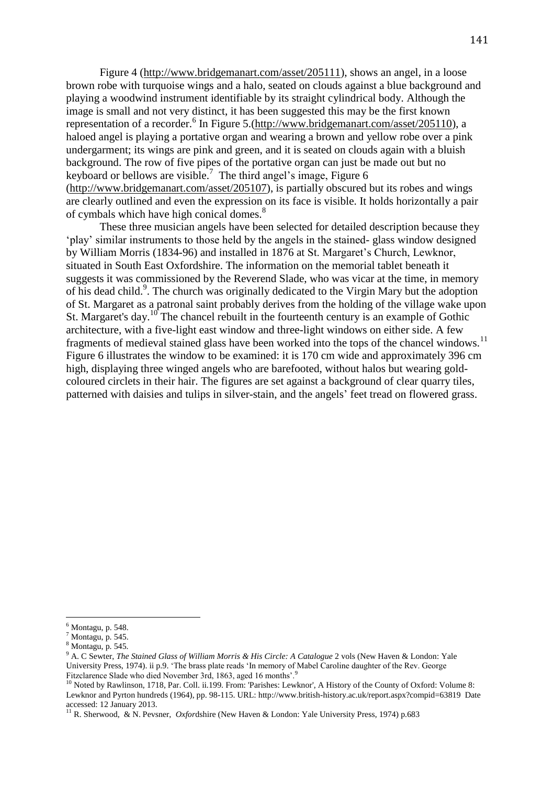Figure 4 [\(http://www.bridgemanart.com/asset/205111\)](http://www.bridgemanart.com/asset/205111), shows an angel, in a loose brown robe with turquoise wings and a halo, seated on clouds against a blue background and playing a woodwind instrument identifiable by its straight cylindrical body. Although the image is small and not very distinct, it has been suggested this may be the first known representation of a recorder.<sup>6</sup> In Figure 5.[\(http://www.bridgemanart.com/asset/205110\)](http://www.bridgemanart.com/asset/205110), a haloed angel is playing a portative organ and wearing a brown and yellow robe over a pink undergarment; its wings are pink and green, and it is seated on clouds again with a bluish background. The row of five pipes of the portative organ can just be made out but no keyboard or bellows are visible.<sup>7</sup> The third angel's image, Figure 6 [\(http://www.bridgemanart.com/asset/205107\)](http://www.bridgemanart.com/asset/205107), is partially obscured but its robes and wings are clearly outlined and even the expression on its face is visible. It holds horizontally a pair of cymbals which have high conical domes.<sup>8</sup>

These three musician angels have been selected for detailed description because they 'play' similar instruments to those held by the angels in the stained- glass window designed by William Morris (1834-96) and installed in 1876 at St. Margaret's Church, Lewknor, situated in South East Oxfordshire. The information on the memorial tablet beneath it suggests it was commissioned by the Reverend Slade, who was vicar at the time, in memory of his dead child.<sup>9</sup>. The church was originally dedicated to the Virgin Mary but the adoption of St. Margaret as a patronal saint probably derives from the holding of the village wake upon St. Margaret's day.<sup>10</sup> The chancel rebuilt in the fourteenth century is an example of Gothic architecture, with a five-light east window and three-light windows on either side. A few fragments of medieval stained glass have been worked into the tops of the chancel windows.<sup>11</sup> Figure 6 illustrates the window to be examined: it is 170 cm wide and approximately 396 cm high, displaying three winged angels who are barefooted, without halos but wearing goldcoloured circlets in their hair. The figures are set against a background of clear quarry tiles, patterned with daisies and tulips in silver-stain, and the angels' feet tread on flowered grass.

 $\overline{a}$ 

 $<sup>6</sup>$  Montagu, p. 548.</sup>

<sup>7</sup> Montagu, p. 545.

<sup>8</sup> Montagu, p. 545.

<sup>&</sup>lt;sup>9</sup> A. C Sewter, *The Stained Glass of William Morris & His Circle: A Catalogue* 2 vols (New Haven & London: Yale University Press, 1974). ii p.9. 'The brass plate reads 'In memory of Mabel Caroline daughter of the Rev. George Fitzclarence Slade who died November 3rd, 1863, aged 16 months'.<sup>9</sup>

<sup>&</sup>lt;sup>10</sup> Noted by Rawlinson, 1718, Par. Coll. ii.199. From: 'Parishes: Lewknor', A History of the County of Oxford: Volume 8: Lewknor and Pyrton hundreds (1964), pp. 98-115. URL: http://www.british-history.ac.uk/report.aspx?compid=63819 Date accessed: 12 January 2013.

<sup>11</sup> R. Sherwood, & N. Pevsner, *Oxfor*dshire (New Haven & London: Yale University Press, 1974) p.683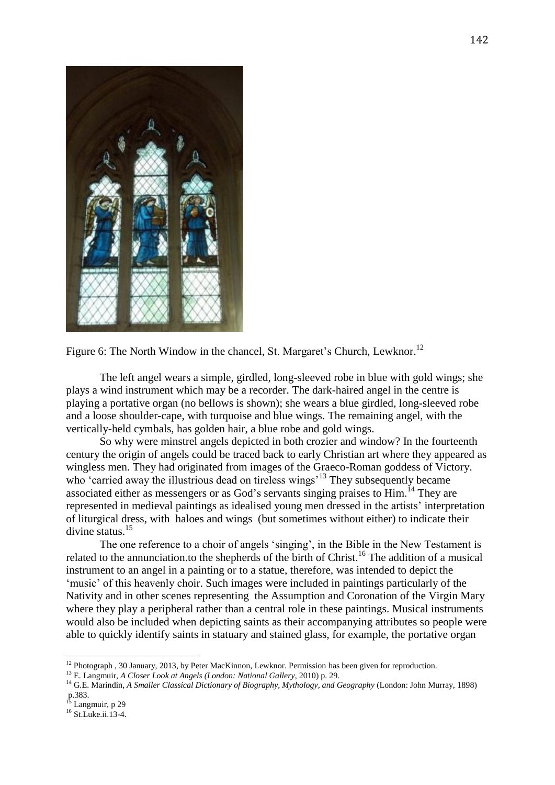

Figure 6: The North Window in the chancel, St. Margaret's Church, Lewknor.<sup>12</sup>

The left angel wears a simple, girdled, long-sleeved robe in blue with gold wings; she plays a wind instrument which may be a recorder. The dark-haired angel in the centre is playing a portative organ (no bellows is shown); she wears a blue girdled, long-sleeved robe and a loose shoulder-cape, with turquoise and blue wings. The remaining angel, with the vertically-held cymbals, has golden hair, a blue robe and gold wings.

So why were minstrel angels depicted in both crozier and window? In the fourteenth century the origin of angels could be traced back to early Christian art where they appeared as wingless men. They had originated from images of the Graeco-Roman goddess of Victory. who 'carried away the illustrious dead on tireless wings<sup>313</sup> They subsequently became associated either as messengers or as God's servants singing praises to Him.<sup>14</sup> They are represented in medieval paintings as idealised young men dressed in the artists' interpretation of liturgical dress, with haloes and wings (but sometimes without either) to indicate their divine status.<sup>15</sup>

The one reference to a choir of angels 'singing', in the Bible in the New Testament is related to the annunciation to the shepherds of the birth of Christ.<sup>16</sup> The addition of a musical instrument to an angel in a painting or to a statue, therefore, was intended to depict the 'music' of this heavenly choir. Such images were included in paintings particularly of the Nativity and in other scenes representing the Assumption and Coronation of the Virgin Mary where they play a peripheral rather than a central role in these paintings. Musical instruments would also be included when depicting saints as their accompanying attributes so people were able to quickly identify saints in statuary and stained glass, for example, the portative organ

 $\overline{\phantom{a}}$ 

<sup>&</sup>lt;sup>12</sup> Photograph , 30 January, 2013, by Peter MacKinnon, Lewknor. Permission has been given for reproduction.

<sup>13</sup> E. Langmuir, *A Closer Look at Angels (London: National Gallery*, 2010) p. 29.

<sup>14</sup> G.E. Marindin, *A Smaller Classical Dictionary of Biography, Mythology, and Geography* (London: John Murray, 1898) p.383.

<sup>&</sup>lt;sup>15</sup> Langmuir, p 29

<sup>16</sup> St.Luke.ii.13-4.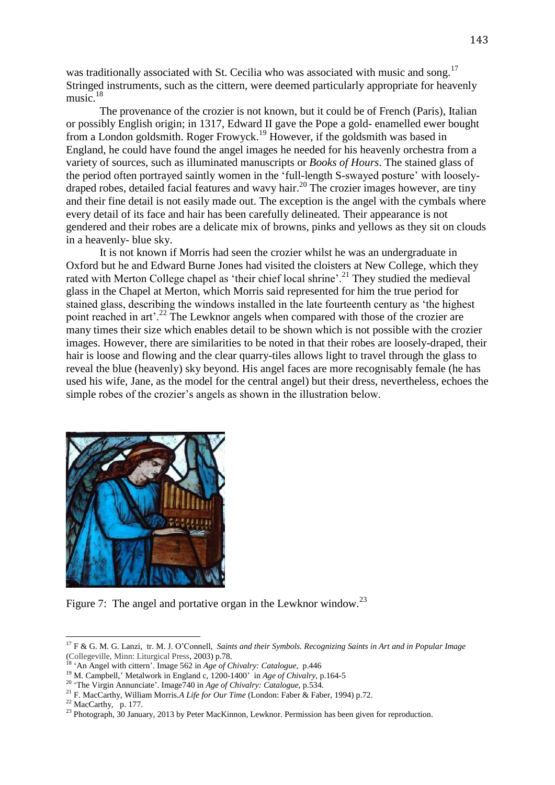was traditionally associated with St. Cecilia who was associated with music and song.<sup>17</sup> Stringed instruments, such as the cittern, were deemed particularly appropriate for heavenly music. $18$ 

The provenance of the crozier is not known, but it could be of French (Paris), Italian or possibly English origin; in 1317, Edward II gave the Pope a gold- enamelled ewer bought from a London goldsmith. Roger Frowyck.<sup>19</sup> However, if the goldsmith was based in England, he could have found the angel images he needed for his heavenly orchestra from a variety of sources, such as illuminated manuscripts or *Books of Hours*. The stained glass of the period often portrayed saintly women in the 'full-length S-swayed posture' with looselydraped robes, detailed facial features and wavy hair.<sup>20</sup> The crozier images however, are tiny and their fine detail is not easily made out. The exception is the angel with the cymbals where every detail of its face and hair has been carefully delineated. Their appearance is not gendered and their robes are a delicate mix of browns, pinks and yellows as they sit on clouds in a heavenly- blue sky.

It is not known if Morris had seen the crozier whilst he was an undergraduate in Oxford but he and Edward Burne Jones had visited the cloisters at New College, which they rated with Merton College chapel as 'their chief local shrine'.<sup>21</sup> They studied the medieval glass in the Chapel at Merton, which Morris said represented for him the true period for stained glass, describing the windows installed in the late fourteenth century as 'the highest point reached in art<sup>2</sup>.<sup>22</sup> The Lewknor angels when compared with those of the crozier are many times their size which enables detail to be shown which is not possible with the crozier images. However, there are similarities to be noted in that their robes are loosely-draped, their hair is loose and flowing and the clear quarry-tiles allows light to travel through the glass to reveal the blue (heavenly) sky beyond. His angel faces are more recognisably female (he has used his wife, Jane, as the model for the central angel) but their dress, nevertheless, echoes the simple robes of the crozier's angels as shown in the illustration below.



Figure 7: The angel and portative organ in the Lewknor window.<sup>23</sup>

 $\overline{a}$ 

<sup>17</sup> F & G. M. G. Lanzi, tr. M. J. O'Connell, *Saints and their Symbols. Recognizing Saints in Art and in Popular Image* (Collegeville, Minn: Liturgical Press, 2003) p.78.

<sup>&#</sup>x27;An Angel with cittern'. Image 562 in *Age of Chivalry: Catalogue*, p.446

<sup>&</sup>lt;sup>19</sup> M. Campbell,' Metalwork in England c, 1200-1400' in *Age of Chivalry*, p.164-5

<sup>20</sup> 'The Virgin Annunciate'. Image740 in *Age of Chivalry: Catalogue,* p.534.

<sup>21</sup> F. MacCarthy, William Morris.*A Life for Our Time* (London: Faber & Faber, 1994) p.72.

 $22$  MacCarthy, p. 177.

<sup>&</sup>lt;sup>23</sup> Photograph, 30 January, 2013 by Peter MacKinnon, Lewknor. Permission has been given for reproduction.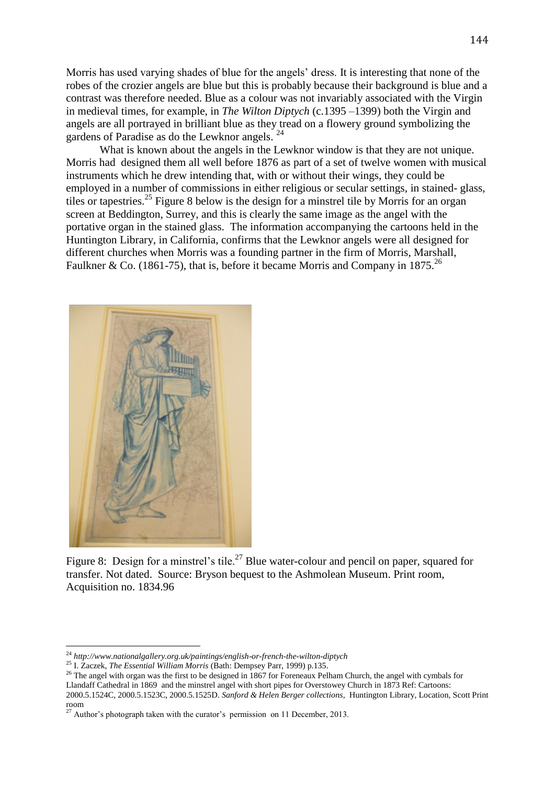Morris has used varying shades of blue for the angels' dress. It is interesting that none of the robes of the crozier angels are blue but this is probably because their background is blue and a contrast was therefore needed. Blue as a colour was not invariably associated with the Virgin in medieval times, for example, in *The Wilton Diptych* (c.1395 –1399) both the Virgin and angels are all portrayed in brilliant blue as they tread on a flowery ground symbolizing the gardens of Paradise as do the Lewknor angels.<sup>24</sup>

What is known about the angels in the Lewknor window is that they are not unique. Morris had designed them all well before 1876 as part of a set of twelve women with musical instruments which he drew intending that, with or without their wings, they could be employed in a number of commissions in either religious or secular settings, in stained- glass, tiles or tapestries.<sup>25</sup> Figure 8 below is the design for a minstrel tile by Morris for an organ screen at Beddington, Surrey, and this is clearly the same image as the angel with the portative organ in the stained glass. The information accompanying the cartoons held in the Huntington Library, in California, confirms that the Lewknor angels were all designed for different churches when Morris was a founding partner in the firm of Morris, Marshall, Faulkner & Co. (1861-75), that is, before it became Morris and Company in 1875.<sup>26</sup>



 $\overline{\phantom{a}}$ 

Figure 8: Design for a minstrel's tile.<sup>27</sup> Blue water-colour and pencil on paper, squared for transfer. Not dated. Source: Bryson bequest to the Ashmolean Museum. Print room, Acquisition no. 1834.96

2000.5.1524C, 2000.5.1523C, 2000.5.1525D. *Sanford & Helen Berger collections*, Huntington Library, Location, Scott Print room

<sup>24</sup> *<http://www.nationalgallery.org.uk/paintings/english-or-french-the-wilton-diptych>*

<sup>25</sup> I. Zaczek, *The Essential William Morris* (Bath: Dempsey Parr, 1999) p.135.

 $^{26}$  The angel with organ was the first to be designed in 1867 for Foreneaux Pelham Church, the angel with cymbals for Llandaff Cathedral in 1869 and the minstrel angel with short pipes for Overstowey Church in 1873 Ref: Cartoons:

 $27$  Author's photograph taken with the curator's permission on 11 December, 2013.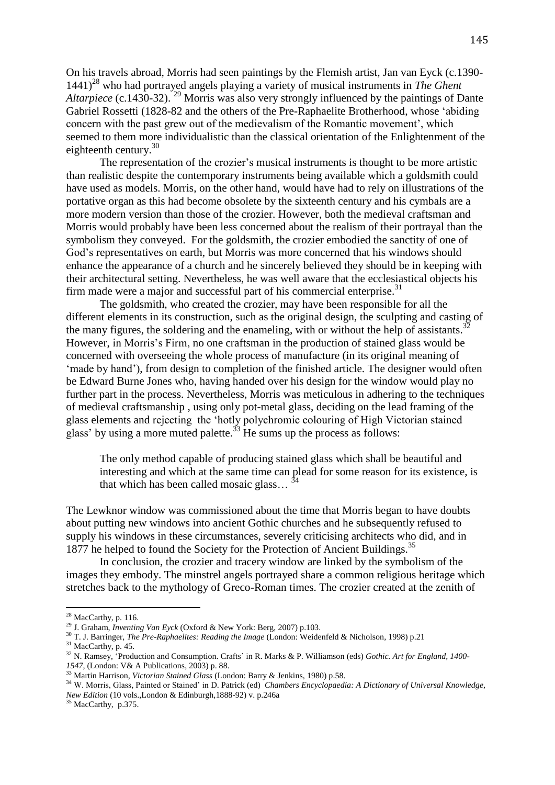On his travels abroad, Morris had seen paintings by the Flemish artist, Jan van Eyck (c.1390- 1441)<sup>28</sup> who had portrayed angels playing a variety of musical instruments in *The Ghent Altarpiece* (c.1430-32).<sup>29</sup> Morris was also very strongly influenced by the paintings of Dante Gabriel Rossetti (1828-82 and the others of the Pre-Raphaelite Brotherhood, whose 'abiding concern with the past grew out of the medievalism of the Romantic movement', which seemed to them more individualistic than the classical orientation of the Enlightenment of the eighteenth century.<sup>30</sup>

The representation of the crozier's musical instruments is thought to be more artistic than realistic despite the contemporary instruments being available which a goldsmith could have used as models. Morris, on the other hand, would have had to rely on illustrations of the portative organ as this had become obsolete by the sixteenth century and his cymbals are a more modern version than those of the crozier. However, both the medieval craftsman and Morris would probably have been less concerned about the realism of their portrayal than the symbolism they conveyed. For the goldsmith, the crozier embodied the sanctity of one of God's representatives on earth, but Morris was more concerned that his windows should enhance the appearance of a church and he sincerely believed they should be in keeping with their architectural setting. Nevertheless, he was well aware that the ecclesiastical objects his firm made were a major and successful part of his commercial enterprise.<sup>31</sup>

The goldsmith, who created the crozier, may have been responsible for all the different elements in its construction, such as the original design, the sculpting and casting of the many figures, the soldering and the enameling, with or without the help of assistants.<sup>32</sup> However, in Morris's Firm, no one craftsman in the production of stained glass would be concerned with overseeing the whole process of manufacture (in its original meaning of 'made by hand'), from design to completion of the finished article. The designer would often be Edward Burne Jones who, having handed over his design for the window would play no further part in the process. Nevertheless, Morris was meticulous in adhering to the techniques of medieval craftsmanship , using only pot-metal glass, deciding on the lead framing of the glass elements and rejecting the 'hotly polychromic colouring of High Victorian stained glass' by using a more muted palette.<sup>33</sup> He sums up the process as follows:

The only method capable of producing stained glass which shall be beautiful and interesting and which at the same time can plead for some reason for its existence, is that which has been called mosaic glass... $\frac{3}{4}$ 

The Lewknor window was commissioned about the time that Morris began to have doubts about putting new windows into ancient Gothic churches and he subsequently refused to supply his windows in these circumstances, severely criticising architects who did, and in 1877 he helped to found the Society for the Protection of Ancient Buildings.<sup>35</sup>

In conclusion, the crozier and tracery window are linked by the symbolism of the images they embody. The minstrel angels portrayed share a common religious heritage which stretches back to the mythology of Greco-Roman times. The crozier created at the zenith of

l

<sup>30</sup> T. J. Barringer, *The Pre-Raphaelites: Reading the Image* (London: Weidenfeld & Nicholson, 1998) p.21

 $28$  MacCarthy, p. 116.

<sup>29</sup> J. Graham, *Inventing Van Eyck* (Oxford & New York: Berg, 2007) p.103.

<sup>&</sup>lt;sup>31</sup> MacCarthy, p. 45.

<sup>32</sup> N. Ramsey, 'Production and Consumption. Crafts' in R. Marks & P. Williamson (eds) *Gothic. Art for England, 1400- 1547,* (London: V& A Publications, 2003) p. 88.

<sup>33</sup> Martin Harrison, *Victorian Stained Glass* (London: Barry & Jenkins, 1980) p.58.

<sup>34</sup> W. Morris, Glass, Painted or Stained' in D. Patrick (ed) *Chambers Encyclopaedia: A Dictionary of Universal Knowledge, New Edition* (10 vols.,London & Edinburgh,1888-92) v. p.246a

 $35$  MacCarthy, p.375.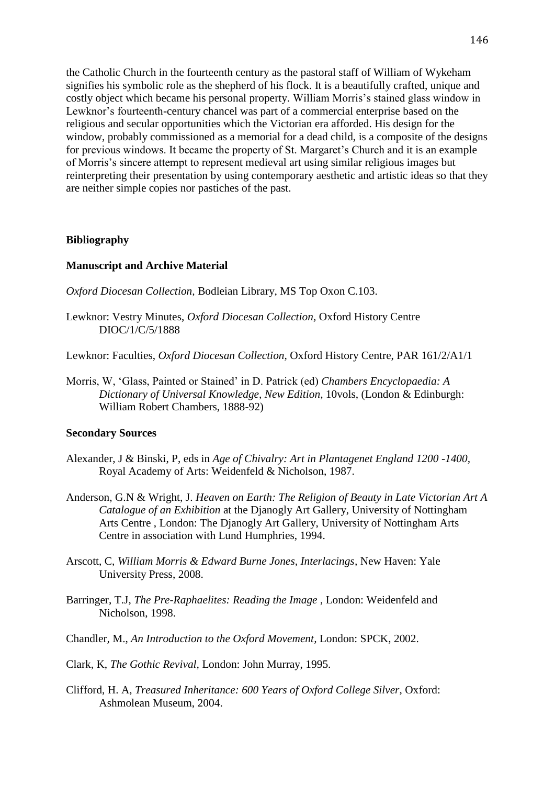the Catholic Church in the fourteenth century as the pastoral staff of William of Wykeham signifies his symbolic role as the shepherd of his flock. It is a beautifully crafted, unique and costly object which became his personal property. William Morris's stained glass window in Lewknor's fourteenth-century chancel was part of a commercial enterprise based on the religious and secular opportunities which the Victorian era afforded. His design for the window, probably commissioned as a memorial for a dead child, is a composite of the designs for previous windows. It became the property of St. Margaret's Church and it is an example of Morris's sincere attempt to represent medieval art using similar religious images but reinterpreting their presentation by using contemporary aesthetic and artistic ideas so that they are neither simple copies nor pastiches of the past.

# **Bibliography**

# **Manuscript and Archive Material**

- *Oxford Diocesan Collection,* Bodleian Library, MS Top Oxon C.103.
- Lewknor: Vestry Minutes, *Oxford Diocesan Collection,* Oxford History Centre DIOC/1/C/5/1888

Lewknor: Faculties, *Oxford Diocesan Collection,* Oxford History Centre, PAR 161/2/A1/1

Morris, W, 'Glass, Painted or Stained' in D. Patrick (ed) *Chambers Encyclopaedia: A Dictionary of Universal Knowledge, New Edition,* 10vols, (London & Edinburgh: William Robert Chambers, 1888-92)

### **Secondary Sources**

- Alexander, J & Binski, P, eds in *Age of Chivalry: Art in Plantagenet England 1200 -1400,*  Royal Academy of Arts: Weidenfeld & Nicholson, 1987.
- Anderson, G.N & Wright, J. *Heaven on Earth: The Religion of Beauty in Late Victorian Art A Catalogue of an Exhibition* at the Djanogly Art Gallery, University of Nottingham Arts Centre , London: The Djanogly Art Gallery, University of Nottingham Arts Centre in association with Lund Humphries, 1994.
- Arscott, C, *William Morris & Edward Burne Jones, Interlacings,* New Haven: Yale University Press, 2008.
- Barringer, T.J, *The Pre-Raphaelites: Reading the Image* , London: Weidenfeld and Nicholson, 1998.
- Chandler*,* M., *An Introduction to the Oxford Movement,* London: SPCK, 2002.
- Clark, K, *The Gothic Revival,* London: John Murray, 1995.
- Clifford, H. A, *Treasured Inheritance: 600 Years of Oxford College Silver*, Oxford: Ashmolean Museum, 2004.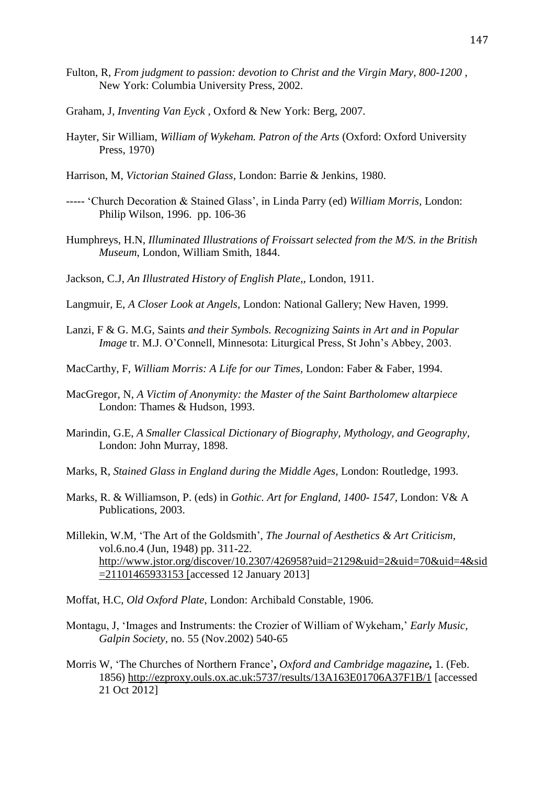- Fulton, R*, From judgment to passion: devotion to Christ and the Virgin Mary, 800-1200* , New York: Columbia University Press, 2002.
- Graham, J, *Inventing Van Eyck* , Oxford & New York: Berg, 2007.
- Hayter, Sir William, *William of Wykeham. Patron of the Arts* (Oxford: Oxford University Press, 1970)
- Harrison, M, *Victorian Stained Glass,* London: Barrie & Jenkins, 1980.
- ----- 'Church Decoration & Stained Glass', in Linda Parry (ed) *William Morris,* London: Philip Wilson, 1996. pp. 106-36
- Humphreys, H.N, *Illuminated Illustrations of Froissart selected from the M/S. in the British Museum*, London, William Smith, 1844.
- Jackson, C.J, *An Illustrated History of English Plate,,* London, 1911.
- Langmuir, E, *A Closer Look at Angels,* London: National Gallery; New Haven, 1999.
- Lanzi, F & G. M.G, Saints *and their Symbols. Recognizing Saints in Art and in Popular Image* tr. M.J. O'Connell, Minnesota: Liturgical Press, St John's Abbey, 2003.
- MacCarthy, F, *William Morris: A Life for our Times,* London: Faber & Faber, 1994.
- MacGregor, N, *A Victim of Anonymity: the Master of the Saint Bartholomew altarpiece* London: Thames & Hudson, 1993.
- Marindin, G.E, *A Smaller Classical Dictionary of Biography, Mythology, and Geography,* London: John Murray, 1898.
- Marks, R, *Stained Glass in England during the Middle Ages,* London: Routledge, 1993.
- Marks, R. & Williamson, P. (eds) in *Gothic. Art for England, 1400- 1547,* London: V& A Publications, 2003.
- Millekin, W.M, 'The Art of the Goldsmith', *The Journal of Aesthetics & Art Criticism,* vol.6.no.4 (Jun, 1948) pp. 311-22. [http://www.jstor.org/discover/10.2307/426958?uid=2129&uid=2&uid=70&uid=4&sid](http://www.jstor.org/discover/10.2307/426958?uid=2129&uid=2&uid=70&uid=4&sid=21101465933153) [=21101465933153](http://www.jstor.org/discover/10.2307/426958?uid=2129&uid=2&uid=70&uid=4&sid=21101465933153) [accessed 12 January 2013]
- Moffat, H.C, *Old Oxford Plate*, London: Archibald Constable, 1906.
- Montagu, J, 'Images and Instruments: the Crozier of William of Wykeham*,*' *Early Music, Galpin Society,* no. 55 (Nov.2002) 540-65
- Morris W, 'The Churches of Northern France'**,** *[Oxford and Cambridge magazine](http://ezproxy.ouls.ox.ac.uk:5737/pubidlinkhandler/sng/pubtitle/Oxford+and+Cambridge+magazine/$N/3136/DocView/4276765/citation/139EA62A91424921F40/4?accountid=13042),* 1. (Feb. 1856) <http://ezproxy.ouls.ox.ac.uk:5737/results/13A163E01706A37F1B/1> [accessed 21 Oct 2012]